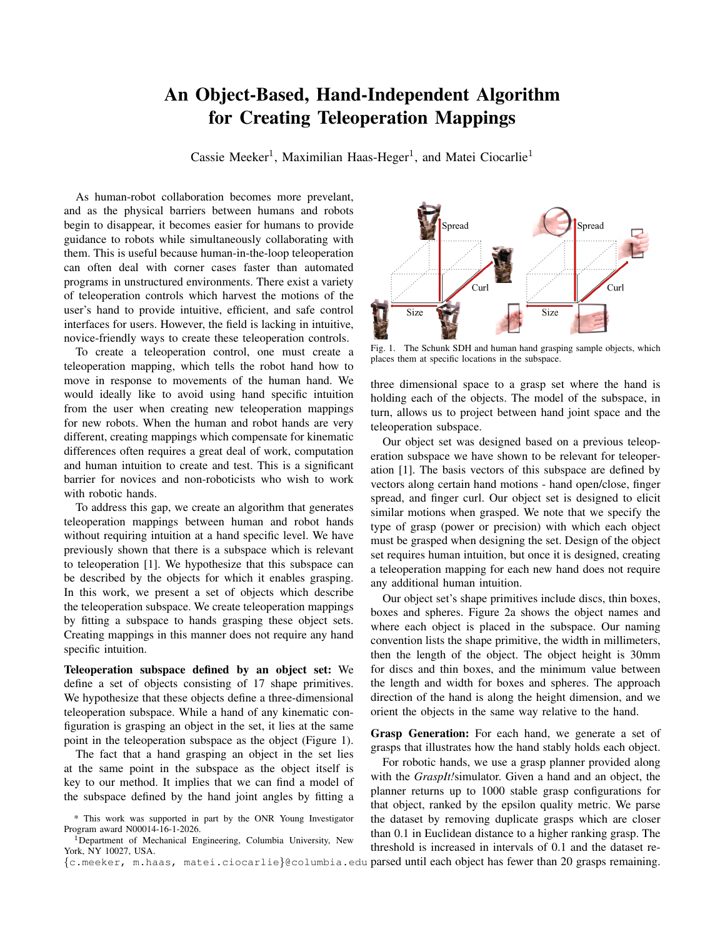## An Object-Based, Hand-Independent Algorithm for Creating Teleoperation Mappings

Cassie Meeker<sup>1</sup>, Maximilian Haas-Heger<sup>1</sup>, and Matei Ciocarlie<sup>1</sup>

As human-robot collaboration becomes more prevelant, and as the physical barriers between humans and robots begin to disappear, it becomes easier for humans to provide guidance to robots while simultaneously collaborating with them. This is useful because human-in-the-loop teleoperation can often deal with corner cases faster than automated programs in unstructured environments. There exist a variety of teleoperation controls which harvest the motions of the user's hand to provide intuitive, efficient, and safe control interfaces for users. However, the field is lacking in intuitive, novice-friendly ways to create these teleoperation controls.

To create a teleoperation control, one must create a teleoperation mapping, which tells the robot hand how to move in response to movements of the human hand. We would ideally like to avoid using hand specific intuition from the user when creating new teleoperation mappings for new robots. When the human and robot hands are very different, creating mappings which compensate for kinematic differences often requires a great deal of work, computation and human intuition to create and test. This is a significant barrier for novices and non-roboticists who wish to work with robotic hands.

To address this gap, we create an algorithm that generates teleoperation mappings between human and robot hands without requiring intuition at a hand specific level. We have previously shown that there is a subspace which is relevant to teleoperation [1]. We hypothesize that this subspace can be described by the objects for which it enables grasping. In this work, we present a set of objects which describe the teleoperation subspace. We create teleoperation mappings by fitting a subspace to hands grasping these object sets. Creating mappings in this manner does not require any hand specific intuition.

Teleoperation subspace defined by an object set: We define a set of objects consisting of 17 shape primitives. We hypothesize that these objects define a three-dimensional teleoperation subspace. While a hand of any kinematic configuration is grasping an object in the set, it lies at the same point in the teleoperation subspace as the object (Figure 1).

The fact that a hand grasping an object in the set lies at the same point in the subspace as the object itself is key to our method. It implies that we can find a model of the subspace defined by the hand joint angles by fitting a



Fig. 1. The Schunk SDH and human hand grasping sample objects, which places them at specific locations in the subspace.

three dimensional space to a grasp set where the hand is holding each of the objects. The model of the subspace, in turn, allows us to project between hand joint space and the teleoperation subspace.

Our object set was designed based on a previous teleoperation subspace we have shown to be relevant for teleoperation [1]. The basis vectors of this subspace are defined by vectors along certain hand motions - hand open/close, finger spread, and finger curl. Our object set is designed to elicit similar motions when grasped. We note that we specify the type of grasp (power or precision) with which each object must be grasped when designing the set. Design of the object set requires human intuition, but once it is designed, creating a teleoperation mapping for each new hand does not require any additional human intuition.

Our object set's shape primitives include discs, thin boxes, boxes and spheres. Figure 2a shows the object names and where each object is placed in the subspace. Our naming convention lists the shape primitive, the width in millimeters, then the length of the object. The object height is 30mm for discs and thin boxes, and the minimum value between the length and width for boxes and spheres. The approach direction of the hand is along the height dimension, and we orient the objects in the same way relative to the hand.

Grasp Generation: For each hand, we generate a set of grasps that illustrates how the hand stably holds each object.

For robotic hands, we use a grasp planner provided along with the *GraspIt!*simulator. Given a hand and an object, the planner returns up to 1000 stable grasp configurations for that object, ranked by the epsilon quality metric. We parse the dataset by removing duplicate grasps which are closer than 0.1 in Euclidean distance to a higher ranking grasp. The threshold is increased in intervals of 0.1 and the dataset re-

{c.meeker, m.haas, matei.ciocarlie}@columbia.edu parsed until each object has fewer than 20 grasps remaining.

<sup>\*</sup> This work was supported in part by the ONR Young Investigator Program award N00014-16-1-2026.

<sup>&</sup>lt;sup>1</sup>Department of Mechanical Engineering, Columbia University, New York, NY 10027, USA.